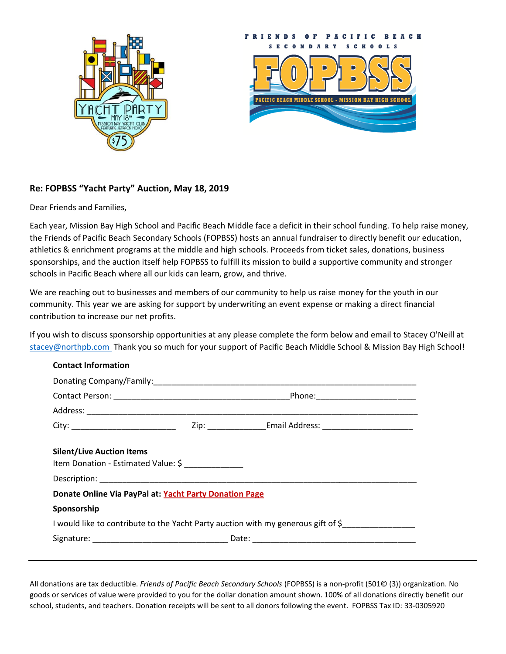



## **Re: FOPBSS "Yacht Party" Auction, May 18, 2019**

Dear Friends and Families,

Each year, Mission Bay High School and Pacific Beach Middle face a deficit in their school funding. To help raise money, the Friends of Pacific Beach Secondary Schools (FOPBSS) hosts an annual fundraiser to directly benefit our education, athletics & enrichment programs at the middle and high schools. Proceeds from ticket sales, donations, business sponsorships, and the auction itself help FOPBSS to fulfill its mission to build a supportive community and stronger schools in Pacific Beach where all our kids can learn, grow, and thrive.

We are reaching out to businesses and members of our community to help us raise money for the youth in our community. This year we are asking for support by underwriting an event expense or making a direct financial contribution to increase our net profits.

If you wish to discuss sponsorship opportunities at any please complete the form below and email to Stacey O'Neill at [stacey@northpb.com](file:///C:/Users/tsi/AppData/Local/Temp/stacey@northpb.com) Thank you so much for your support of Pacific Beach Middle School & Mission Bay High School!

## **Contact Information**

| <b>Silent/Live Auction Items</b>                                                  |  |  |
|-----------------------------------------------------------------------------------|--|--|
| Item Donation - Estimated Value: \$                                               |  |  |
|                                                                                   |  |  |
| Donate Online Via PayPal at: Yacht Party Donation Page                            |  |  |
| Sponsorship                                                                       |  |  |
| I would like to contribute to the Yacht Party auction with my generous gift of \$ |  |  |
|                                                                                   |  |  |
|                                                                                   |  |  |

All donations are tax deductible. *Friends of Pacific Beach Secondary Schools* (FOPBSS) is a non-profit (501© (3)) organization. No goods or services of value were provided to you for the dollar donation amount shown. 100% of all donations directly benefit our school, students, and teachers. Donation receipts will be sent to all donors following the event. FOPBSS Tax ID: 33-0305920